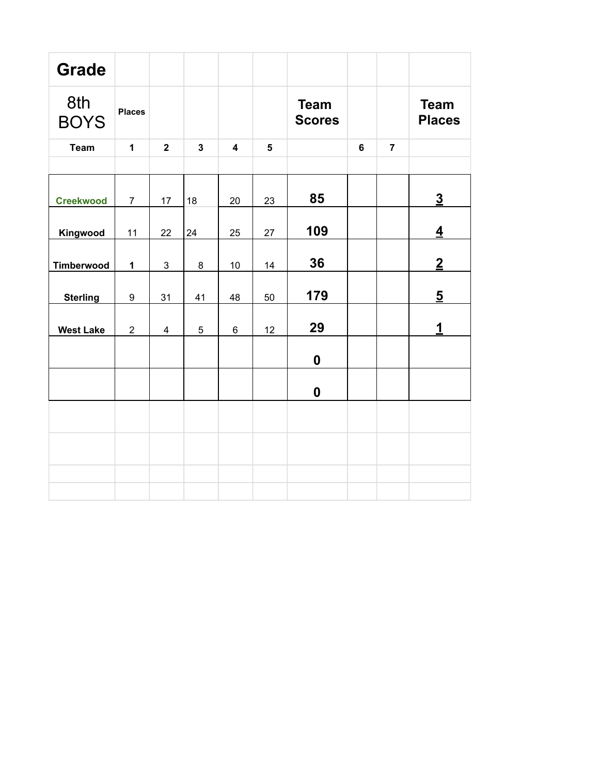| <b>Grade</b>       |                |                |                |                         |                         |                              |                |                |                              |
|--------------------|----------------|----------------|----------------|-------------------------|-------------------------|------------------------------|----------------|----------------|------------------------------|
| 8th<br><b>BOYS</b> | <b>Places</b>  |                |                |                         |                         | <b>Team</b><br><b>Scores</b> |                |                | <b>Team</b><br><b>Places</b> |
| <b>Team</b>        | $\mathbf{1}$   | $\overline{2}$ | $\overline{3}$ | $\overline{\mathbf{4}}$ | $\overline{\mathbf{5}}$ |                              | $6\phantom{a}$ | $\overline{7}$ |                              |
|                    |                |                |                |                         |                         |                              |                |                |                              |
| <b>Creekwood</b>   | $\overline{7}$ | 17             | 18             | 20                      | 23                      | 85                           |                |                | $\overline{3}$               |
| Kingwood           | 11             | 22             | 24             | 25                      | 27                      | 109                          |                |                | $\overline{\mathbf{4}}$      |
| Timberwood         | $\mathbf 1$    | $\mathfrak{S}$ | 8              | 10                      | 14                      | 36                           |                |                | $\overline{2}$               |
| <b>Sterling</b>    | 9              | 31             | 41             | 48                      | 50                      | 179                          |                |                | $\overline{5}$               |
| <b>West Lake</b>   | $\overline{2}$ | $\overline{4}$ | 5              | $6\phantom{1}$          | 12                      | 29                           |                |                | 1                            |
|                    |                |                |                |                         |                         | $\boldsymbol{0}$             |                |                |                              |
|                    |                |                |                |                         |                         | $\boldsymbol{0}$             |                |                |                              |
|                    |                |                |                |                         |                         |                              |                |                |                              |
|                    |                |                |                |                         |                         |                              |                |                |                              |
|                    |                |                |                |                         |                         |                              |                |                |                              |
|                    |                |                |                |                         |                         |                              |                |                |                              |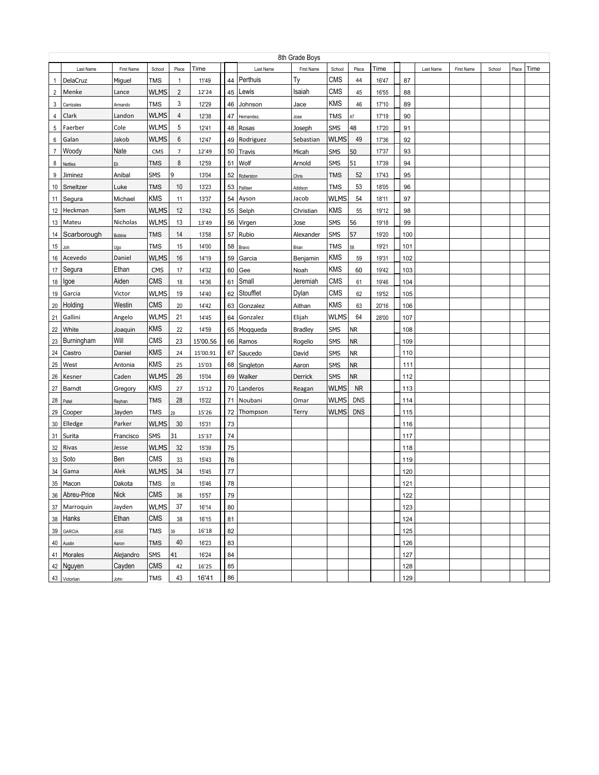|                | 8th Grade Boys          |                     |                   |                |          |          |               |                |             |            |       |            |           |            |        |       |      |
|----------------|-------------------------|---------------------|-------------------|----------------|----------|----------|---------------|----------------|-------------|------------|-------|------------|-----------|------------|--------|-------|------|
|                | Last Name               | First Name          | School            | Place          | Time     |          | Last Name     | First Name     | School      | Place      | Time  |            | Last Name | First Name | School | Place | Time |
| $\mathbf{1}$   | DelaCruz                | Miguel              | <b>TMS</b>        | $\mathbf{1}$   | 11'49    | 44       | Perthuis      | Tγ             | CMS         | 44         | 16'47 | 87         |           |            |        |       |      |
| $\overline{2}$ | Menke                   | Lance               | <b>WLMS</b>       | $\overline{2}$ | 12'24    | 45       | Lewis         | Isaiah         | CMS         | 45         | 16'55 | 88         |           |            |        |       |      |
| 3              | Carrizales              | Armando             | <b>TMS</b>        | 3              | 12'29    | 46       | Johnson       | Jace           | <b>KMS</b>  | 46         | 17'10 | 89         |           |            |        |       |      |
| 4              | Clark                   | Landon              | <b>WLMS</b>       | 4              | 12'38    | 47       | Hernandez,    | Jose           | TMS         | 47         | 17'19 | 90         |           |            |        |       |      |
| 5              | Faerber                 | Cole                | WLMS              | 5              | 12'41    | 48       | Rosas         | Joseph         | SMS         | 48         | 17'20 | 91         |           |            |        |       |      |
| 6              | Galan                   | Jakob               | <b>WLMS</b>       | 6              | 12'47    | 49       | Rodriguez     | Sebastian      | WLMS        | 49         | 17'36 | 92         |           |            |        |       |      |
| $\overline{7}$ | Woody                   | Nate                | CMS               | $\overline{7}$ | 12'49    | 50       | <b>Travis</b> | Micah          | SMS         | 50         | 17'37 | 93         |           |            |        |       |      |
| 8              | Nettles                 | Eli                 | <b>TMS</b>        | 8              | 12'59    | 51       | Wolf          | Arnold         | SMS         | 51         | 17'39 | 94         |           |            |        |       |      |
| 9              | Jiminez                 | Anibal              | SMS               | 9              | 13'04    | 52       | Roberston     | Chris          | <b>TMS</b>  | 52         | 17'43 | 95         |           |            |        |       |      |
| 10             | Smeltzer                | Luke                | <b>TMS</b>        | 10             | 13'23    | 53       | Palliser      | Addison        | <b>TMS</b>  | 53         | 18'05 | 96         |           |            |        |       |      |
| 11             | Segura                  | Michael             | <b>KMS</b>        | 11             | 13'37    | 54       | Ayson         | Jacob          | <b>WLMS</b> | 54         | 18'11 | 97         |           |            |        |       |      |
| 12             | Heckman                 | Sam                 | <b>WLMS</b>       | 12             | 13'42    | 55       | Selph         | Christian      | <b>KMS</b>  | 55         | 19'12 | 98         |           |            |        |       |      |
| 13             | Mateu                   | Nicholas            | <b>WLMS</b>       | 13             | 13'49    | 56       | Virgen        | Jose           | SMS         | 56         | 19'18 | 99         |           |            |        |       |      |
| 14             | Scarborough             | Bobbie              | <b>TMS</b>        | 14             | 13'58    | 57       | Rubio         | Alexander      | SMS         | 57         | 19'20 | 100        |           |            |        |       |      |
| 15             | Joh                     | Ugo                 | <b>TMS</b>        | 15             | 14'00    | 58       | Bravo         | Brian          | <b>TMS</b>  | 58         | 19'21 | 101        |           |            |        |       |      |
| 16             | Acevedo                 | Daniel              | <b>WLMS</b>       | 16             | 14'19    | 59       | Garcia        | Benjamin       | <b>KMS</b>  | 59         | 19'31 | 102        |           |            |        |       |      |
| 17             | Segura                  | Ethan               | <b>CMS</b>        | 17             | 14'32    | 60       | Gee           | Noah           | <b>KMS</b>  | 60         | 19'42 | 103        |           |            |        |       |      |
| 18             | Igoe                    | Aiden               | <b>CMS</b>        | 18             | 14'36    | 61       | Small         | Jeremiah       | <b>CMS</b>  | 61         | 19'46 | 104        |           |            |        |       |      |
| 19             | Garcia                  | Victor              | <b>WLMS</b>       | 19             | 14'40    | 62       | Stoufflet     | Dylan          | <b>CMS</b>  | 62         | 19'52 | 105        |           |            |        |       |      |
| 20             | Holding                 | Westin              | <b>CMS</b>        | 20             | 14'42    | 63       | Gonzalez      | Aithan         | <b>KMS</b>  | 63         | 20'16 | 106        |           |            |        |       |      |
| 21             | Gallini                 | Angelo              | <b>WLMS</b>       | 21             | 14'45    | 64       | Gonzalez      | Elijah         | <b>WLMS</b> | 64         | 28'00 | 107        |           |            |        |       |      |
| 22             | White                   | Joaquin             | <b>KMS</b>        | 22             | 14'59    |          | 65   Mogqueda | <b>Bradley</b> | SMS         | <b>NR</b>  |       | 108        |           |            |        |       |      |
| 23             | Burningham              | Will                | <b>CMS</b>        | 23             | 15'00.56 | 66       | Ramos         | Rogelio        | <b>SMS</b>  | <b>NR</b>  |       | 109        |           |            |        |       |      |
| 24             | Castro                  | Daniel              | <b>KMS</b>        | 24             | 15'00.91 |          | 67   Saucedo  | David          | <b>SMS</b>  | <b>NR</b>  |       | 110        |           |            |        |       |      |
| 25             | West                    | Antonia             | <b>KMS</b>        | 25             | 15'03    |          | 68 Singleton  | Aaron          | SMS         | <b>NR</b>  |       | 111        |           |            |        |       |      |
| 26             | Kesner                  | Caden               | <b>WLMS</b>       | 26             | 15'04    | 69       | Walker        | Derrick        | SMS         | <b>NR</b>  |       | 112        |           |            |        |       |      |
| 27             | Barndt                  | Gregory             | <b>KMS</b>        | 27             | 15'12    |          | 70 Landeros   | Reagan         | <b>WLMS</b> | <b>NR</b>  |       | 113        |           |            |        |       |      |
| 28             | Patel                   | Reyhan              | <b>TMS</b>        | 28             | 15'22    | 71       | Noubani       | Omar           | <b>WLMS</b> | <b>DNS</b> |       | 114        |           |            |        |       |      |
| 29             | Cooper                  | Jayden              | <b>TMS</b>        | 29             | 15'26    |          | 72 Thompson   | Terry          | <b>WLMS</b> | <b>DNS</b> |       | 115        |           |            |        |       |      |
| 30             | Elledge                 | Parker              | <b>WLMS</b>       | 30             | 15'31    | 73       |               |                |             |            |       | 116        |           |            |        |       |      |
| 31             | Surita                  | Francisco           | SMS               | 31             | 15'37    | 74       |               |                |             |            |       | 117        |           |            |        |       |      |
| 32             | Rivas                   | Jesse               | <b>WLMS</b>       | 32             | 15'39    | 75       |               |                |             |            |       | 118        |           |            |        |       |      |
| 33             | Soto                    | Ben                 | <b>CMS</b>        | 33             | 15'43    | 76       |               |                |             |            |       | 119        |           |            |        |       |      |
| 34             | Gama                    | Alek                | <b>WLMS</b>       | 34             | 15'45    | 77       |               |                |             |            |       | 120        |           |            |        |       |      |
|                | 35 Macon                | Dakota              | TMS               | 35             | 15'46    | 78       |               |                |             |            |       | 121        |           |            |        |       |      |
|                | 36 Abreu-Price          | Nick                | CMS               | 36             | 15'57    | 79       |               |                |             |            |       |            |           |            |        |       |      |
|                | 37 Marroquin            | Jayden              | <b>WLMS</b>       | 37             | 16'14    | 80       |               |                |             |            |       | 122<br>123 |           |            |        |       |      |
|                | 38 Hanks                | Ethan               | CMS               | 38             | 16'15    | 81       |               |                |             |            |       | 124        |           |            |        |       |      |
|                | 39 GARCIA               |                     | <b>TMS</b>        |                | 16'18    | 82       |               |                |             |            |       | 125        |           |            |        |       |      |
|                |                         | JESE                | <b>TMS</b>        | 39<br>40       | 16'23    |          |               |                |             |            |       |            |           |            |        |       |      |
|                | 40 Austin               | Aaron               |                   |                |          | 83       |               |                |             |            |       | 126        |           |            |        |       |      |
|                | 41 Morales<br>42 Nguyen | Alejandro<br>Cayden | SMS<br><b>CMS</b> | 41             | 16'24    | 84       |               |                |             |            |       | 127        |           |            |        |       |      |
|                |                         |                     |                   | 42             | 16'25    | 85<br>86 |               |                |             |            |       | 128        |           |            |        |       |      |
|                | 43 Victoriian           | John                | <b>TMS</b>        | 43             | 16'41    |          |               |                |             |            |       | 129        |           |            |        |       |      |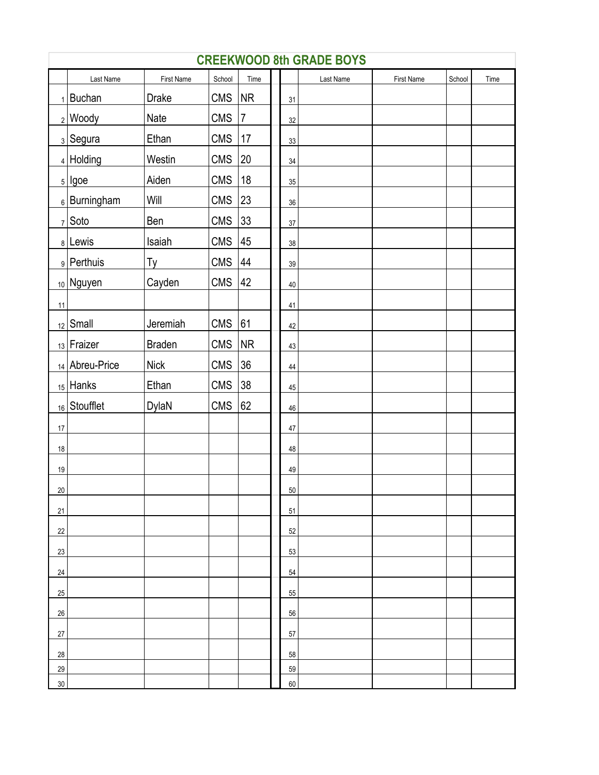|                 | <b>CREEKWOOD 8th GRADE BOYS</b> |               |            |              |  |        |           |            |        |      |  |  |  |  |
|-----------------|---------------------------------|---------------|------------|--------------|--|--------|-----------|------------|--------|------|--|--|--|--|
|                 | Last Name                       | First Name    | School     | Time         |  |        | Last Name | First Name | School | Time |  |  |  |  |
|                 | $1$ Buchan                      | <b>Drake</b>  | <b>CMS</b> | NR           |  | 31     |           |            |        |      |  |  |  |  |
|                 | $2 $ Woody                      | Nate          | <b>CMS</b> | 7            |  | 32     |           |            |        |      |  |  |  |  |
|                 | <sub>3</sub> Segura             | Ethan         | <b>CMS</b> | 17           |  | 33     |           |            |        |      |  |  |  |  |
|                 | $_4$ Holding                    | Westin        | <b>CMS</b> | 20           |  | 34     |           |            |        |      |  |  |  |  |
|                 | $5$   Igoe                      | Aiden         | <b>CMS</b> | 18           |  | 35     |           |            |        |      |  |  |  |  |
|                 | $_6$ Burningham                 | Will          | <b>CMS</b> | 23           |  | 36     |           |            |        |      |  |  |  |  |
|                 | $7$ Soto                        | Ben           | <b>CMS</b> | $ 33\rangle$ |  | 37     |           |            |        |      |  |  |  |  |
|                 | 8 Lewis                         | Isaiah        | <b>CMS</b> | 45           |  | 38     |           |            |        |      |  |  |  |  |
|                 | 9 Perthuis                      | Ty            | <b>CMS</b> | 44           |  | $39\,$ |           |            |        |      |  |  |  |  |
|                 | $_{10}$ Nguyen                  | Cayden        | <b>CMS</b> | 42           |  | $40\,$ |           |            |        |      |  |  |  |  |
| 11              |                                 |               |            |              |  | 41     |           |            |        |      |  |  |  |  |
|                 | $_{12}$ Small                   | Jeremiah      | <b>CMS</b> | 61           |  | 42     |           |            |        |      |  |  |  |  |
|                 | $_{13}$ Fraizer                 | <b>Braden</b> | <b>CMS</b> | NR           |  | 43     |           |            |        |      |  |  |  |  |
|                 | 14 Abreu-Price                  | <b>Nick</b>   | <b>CMS</b> | 36           |  | $44\,$ |           |            |        |      |  |  |  |  |
|                 | $_{15}$ Hanks                   | Ethan         | <b>CMS</b> | 38           |  | 45     |           |            |        |      |  |  |  |  |
|                 | 16 Stoufflet                    | DylaN         | <b>CMS</b> | 62           |  | 46     |           |            |        |      |  |  |  |  |
| 17              |                                 |               |            |              |  | $47\,$ |           |            |        |      |  |  |  |  |
| 18              |                                 |               |            |              |  | 48     |           |            |        |      |  |  |  |  |
| 19              |                                 |               |            |              |  | 49     |           |            |        |      |  |  |  |  |
| 20 <sub>2</sub> |                                 |               |            |              |  | 50     |           |            |        |      |  |  |  |  |
| 21              |                                 |               |            |              |  | 51     |           |            |        |      |  |  |  |  |
| 22              |                                 |               |            |              |  | 52     |           |            |        |      |  |  |  |  |
| 23              |                                 |               |            |              |  | 53     |           |            |        |      |  |  |  |  |
| 24              |                                 |               |            |              |  | 54     |           |            |        |      |  |  |  |  |
| 25              |                                 |               |            |              |  | 55     |           |            |        |      |  |  |  |  |
| 26              |                                 |               |            |              |  | 56     |           |            |        |      |  |  |  |  |
| 27              |                                 |               |            |              |  | 57     |           |            |        |      |  |  |  |  |
| 28              |                                 |               |            |              |  | 58     |           |            |        |      |  |  |  |  |
| 29              |                                 |               |            |              |  | 59     |           |            |        |      |  |  |  |  |
| $30\,$          |                                 |               |            |              |  | 60     |           |            |        |      |  |  |  |  |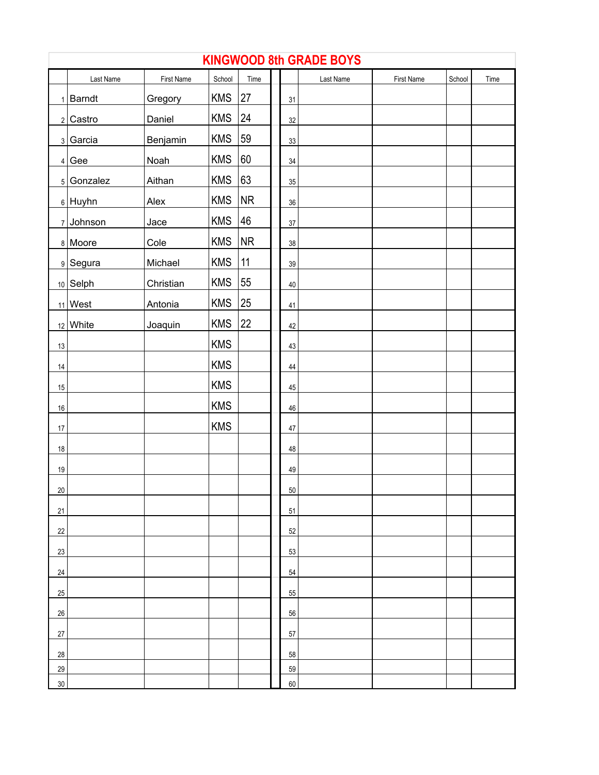|             | <b>KINGWOOD 8th GRADE BOYS</b> |            |            |      |  |        |           |            |        |      |  |  |  |  |
|-------------|--------------------------------|------------|------------|------|--|--------|-----------|------------|--------|------|--|--|--|--|
|             | Last Name                      | First Name | School     | Time |  |        | Last Name | First Name | School | Time |  |  |  |  |
|             | $1$ Barndt                     | Gregory    | <b>KMS</b> | 27   |  | 31     |           |            |        |      |  |  |  |  |
|             | 2 Castro                       | Daniel     | <b>KMS</b> | 24   |  | $32\,$ |           |            |        |      |  |  |  |  |
|             | 3 Garcia                       | Benjamin   | <b>KMS</b> | 59   |  | 33     |           |            |        |      |  |  |  |  |
|             | $4$ Gee                        | Noah       | <b>KMS</b> | 60   |  | $34\,$ |           |            |        |      |  |  |  |  |
|             | 5 Gonzalez                     | Aithan     | <b>KMS</b> | 63   |  | $35\,$ |           |            |        |      |  |  |  |  |
|             | $6$ Huyhn                      | Alex       | <b>KMS</b> | NR   |  | $36\,$ |           |            |        |      |  |  |  |  |
|             | 7 Johnson                      | Jace       | <b>KMS</b> | 46   |  | $37\,$ |           |            |        |      |  |  |  |  |
|             | 8 Moore                        | Cole       | <b>KMS</b> | NR   |  | $38\,$ |           |            |        |      |  |  |  |  |
|             | 9 Segura                       | Michael    | <b>KMS</b> | 11   |  | $39\,$ |           |            |        |      |  |  |  |  |
|             | $10$ Selph                     | Christian  | <b>KMS</b> | 55   |  | $40\,$ |           |            |        |      |  |  |  |  |
|             | $11$ West                      | Antonia    | <b>KMS</b> | 25   |  | 41     |           |            |        |      |  |  |  |  |
|             | $12$ White                     | Joaquin    | <b>KMS</b> | 22   |  | 42     |           |            |        |      |  |  |  |  |
| 13          |                                |            | <b>KMS</b> |      |  | 43     |           |            |        |      |  |  |  |  |
| 14          |                                |            | <b>KMS</b> |      |  | $44\,$ |           |            |        |      |  |  |  |  |
| 15          |                                |            | <b>KMS</b> |      |  | $45\,$ |           |            |        |      |  |  |  |  |
| $16\,$      |                                |            | <b>KMS</b> |      |  | 46     |           |            |        |      |  |  |  |  |
| 17          |                                |            | <b>KMS</b> |      |  | $47\,$ |           |            |        |      |  |  |  |  |
| 18          |                                |            |            |      |  | 48     |           |            |        |      |  |  |  |  |
| 19          |                                |            |            |      |  | 49     |           |            |        |      |  |  |  |  |
| $20\degree$ |                                |            |            |      |  | $50\,$ |           |            |        |      |  |  |  |  |
| 21          |                                |            |            |      |  | 51     |           |            |        |      |  |  |  |  |
| 22          |                                |            |            |      |  | 52     |           |            |        |      |  |  |  |  |
| 23          |                                |            |            |      |  | 53     |           |            |        |      |  |  |  |  |
| 24          |                                |            |            |      |  | 54     |           |            |        |      |  |  |  |  |
| 25          |                                |            |            |      |  | 55     |           |            |        |      |  |  |  |  |
| $26\,$      |                                |            |            |      |  | 56     |           |            |        |      |  |  |  |  |
| $27\,$      |                                |            |            |      |  | 57     |           |            |        |      |  |  |  |  |
| 28          |                                |            |            |      |  | 58     |           |            |        |      |  |  |  |  |
| 29          |                                |            |            |      |  | 59     |           |            |        |      |  |  |  |  |
| 30          |                                |            |            |      |  | 60     |           |            |        |      |  |  |  |  |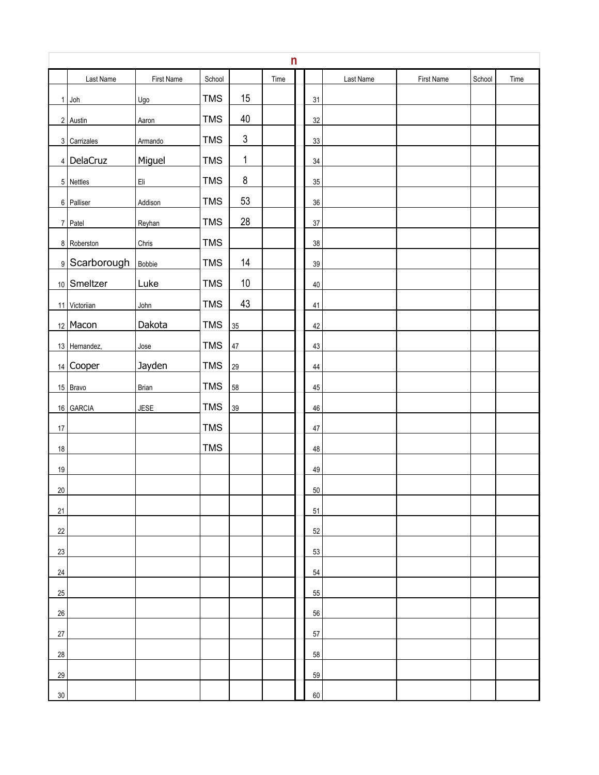|                 | n             |             |            |                |      |  |        |           |            |        |      |  |  |  |
|-----------------|---------------|-------------|------------|----------------|------|--|--------|-----------|------------|--------|------|--|--|--|
|                 | Last Name     | First Name  | School     |                | Time |  |        | Last Name | First Name | School | Time |  |  |  |
|                 | $1$ Joh       | Ugo         | <b>TMS</b> | 15             |      |  | 31     |           |            |        |      |  |  |  |
|                 | 2 Austin      | Aaron       | <b>TMS</b> | 40             |      |  | 32     |           |            |        |      |  |  |  |
|                 | 3 Carrizales  | Armando     | <b>TMS</b> | $\mathfrak{S}$ |      |  | 33     |           |            |        |      |  |  |  |
|                 | $4$ DelaCruz  | Miguel      | <b>TMS</b> | $\mathbf{1}$   |      |  | 34     |           |            |        |      |  |  |  |
|                 | 5 Nettles     | Eli         | <b>TMS</b> | $\bf 8$        |      |  | 35     |           |            |        |      |  |  |  |
|                 | 6 Palliser    | Addison     | <b>TMS</b> | 53             |      |  | 36     |           |            |        |      |  |  |  |
|                 | 7 Patel       | Reyhan      | <b>TMS</b> | 28             |      |  | 37     |           |            |        |      |  |  |  |
|                 | 8 Roberston   | Chris       | <b>TMS</b> |                |      |  | 38     |           |            |        |      |  |  |  |
|                 | 9 Scarborough | Bobbie      | <b>TMS</b> | 14             |      |  | $39\,$ |           |            |        |      |  |  |  |
|                 | 10 Smeltzer   | Luke        | <b>TMS</b> | $10$           |      |  | 40     |           |            |        |      |  |  |  |
|                 | 11 Victoriian | John        | <b>TMS</b> | 43             |      |  | 41     |           |            |        |      |  |  |  |
|                 | $12$ Macon    | Dakota      | <b>TMS</b> | 35             |      |  | 42     |           |            |        |      |  |  |  |
|                 | 13 Hernandez, | Jose        | <b>TMS</b> | $47\,$         |      |  | 43     |           |            |        |      |  |  |  |
|                 | $14$ Cooper   | Jayden      | <b>TMS</b> | 29             |      |  | 44     |           |            |        |      |  |  |  |
|                 | 15 Bravo      | Brian       | <b>TMS</b> | 58             |      |  | 45     |           |            |        |      |  |  |  |
|                 | 16 GARCIA     | <b>JESE</b> | <b>TMS</b> | 39             |      |  | 46     |           |            |        |      |  |  |  |
| 17              |               |             | <b>TMS</b> |                |      |  | 47     |           |            |        |      |  |  |  |
| 18              |               |             | <b>TMS</b> |                |      |  | 48     |           |            |        |      |  |  |  |
| 19              |               |             |            |                |      |  | 49     |           |            |        |      |  |  |  |
| 20 <sup>°</sup> |               |             |            |                |      |  | $50\,$ |           |            |        |      |  |  |  |
| 21              |               |             |            |                |      |  | 51     |           |            |        |      |  |  |  |
| 22              |               |             |            |                |      |  | 52     |           |            |        |      |  |  |  |
| 23              |               |             |            |                |      |  | 53     |           |            |        |      |  |  |  |
| 24              |               |             |            |                |      |  | 54     |           |            |        |      |  |  |  |
| $25\,$          |               |             |            |                |      |  | 55     |           |            |        |      |  |  |  |
| 26              |               |             |            |                |      |  | 56     |           |            |        |      |  |  |  |
| $27\,$          |               |             |            |                |      |  | 57     |           |            |        |      |  |  |  |
| 28              |               |             |            |                |      |  | 58     |           |            |        |      |  |  |  |
| 29              |               |             |            |                |      |  | 59     |           |            |        |      |  |  |  |
| $30\,$          |               |             |            |                |      |  | 60     |           |            |        |      |  |  |  |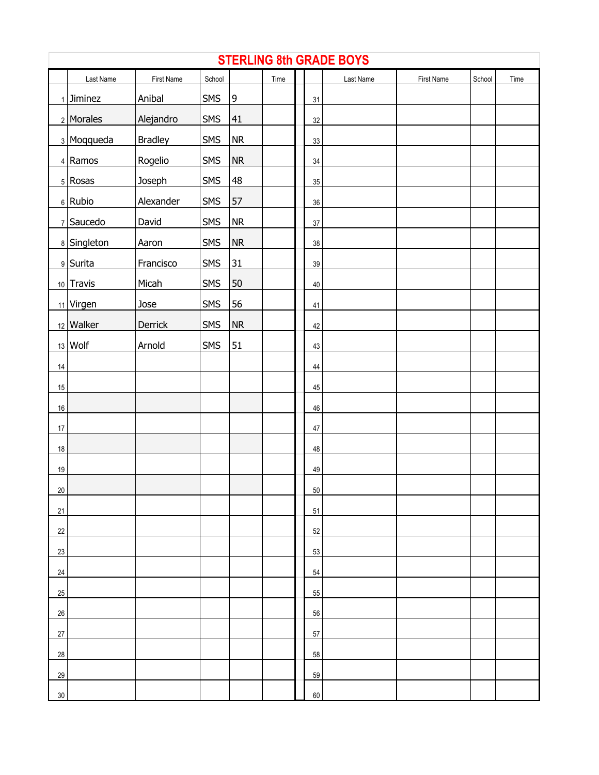|        | <b>STERLING 8th GRADE BOYS</b> |                |        |             |      |  |        |           |            |        |      |  |  |
|--------|--------------------------------|----------------|--------|-------------|------|--|--------|-----------|------------|--------|------|--|--|
|        | Last Name                      | First Name     | School |             | Time |  |        | Last Name | First Name | School | Time |  |  |
|        | $1$ Jiminez                    | Anibal         | SMS    | $\mathsf 9$ |      |  | 31     |           |            |        |      |  |  |
|        | 2 Morales                      | Alejandro      | SMS    | 41          |      |  | $32\,$ |           |            |        |      |  |  |
|        | 3 Moqqueda                     | <b>Bradley</b> | SMS    | ${\sf NR}$  |      |  | $33\,$ |           |            |        |      |  |  |
|        | 4 Ramos                        | Rogelio        | SMS    | ${\sf NR}$  |      |  | 34     |           |            |        |      |  |  |
|        | 5 Rosas                        | Joseph         | SMS    | 48          |      |  | 35     |           |            |        |      |  |  |
|        | $6$ Rubio                      | Alexander      | SMS    | 57          |      |  | 36     |           |            |        |      |  |  |
|        | $7$ Saucedo                    | David          | SMS    | <b>NR</b>   |      |  | $37\,$ |           |            |        |      |  |  |
|        | 8 Singleton                    | Aaron          | SMS    | ${\sf NR}$  |      |  | 38     |           |            |        |      |  |  |
|        | 9 Surita                       | Francisco      | SMS    | 31          |      |  | 39     |           |            |        |      |  |  |
|        | 10 Travis                      | Micah          | SMS    | 50          |      |  | $40\,$ |           |            |        |      |  |  |
|        | 11 Virgen                      | Jose           | SMS    | 56          |      |  | 41     |           |            |        |      |  |  |
|        | $12$ Walker                    | Derrick        | SMS    | ${\sf NR}$  |      |  | 42     |           |            |        |      |  |  |
|        | $13$ Wolf                      | Arnold         | SMS    | 51          |      |  | 43     |           |            |        |      |  |  |
| 14     |                                |                |        |             |      |  | 44     |           |            |        |      |  |  |
| 15     |                                |                |        |             |      |  | 45     |           |            |        |      |  |  |
| 16     |                                |                |        |             |      |  | 46     |           |            |        |      |  |  |
| $17\,$ |                                |                |        |             |      |  | 47     |           |            |        |      |  |  |
| 18     |                                |                |        |             |      |  | 48     |           |            |        |      |  |  |
| 19     |                                |                |        |             |      |  | 49     |           |            |        |      |  |  |
| 20     |                                |                |        |             |      |  | $50\,$ |           |            |        |      |  |  |
| 21     |                                |                |        |             |      |  | 51     |           |            |        |      |  |  |
| 22     |                                |                |        |             |      |  | 52     |           |            |        |      |  |  |
| 23     |                                |                |        |             |      |  | 53     |           |            |        |      |  |  |
| 24     |                                |                |        |             |      |  | 54     |           |            |        |      |  |  |
| $25\,$ |                                |                |        |             |      |  | 55     |           |            |        |      |  |  |
| 26     |                                |                |        |             |      |  | 56     |           |            |        |      |  |  |
| 27     |                                |                |        |             |      |  | 57     |           |            |        |      |  |  |
| 28     |                                |                |        |             |      |  | 58     |           |            |        |      |  |  |
| 29     |                                |                |        |             |      |  | 59     |           |            |        |      |  |  |
| $30\,$ |                                |                |        |             |      |  | 60     |           |            |        |      |  |  |